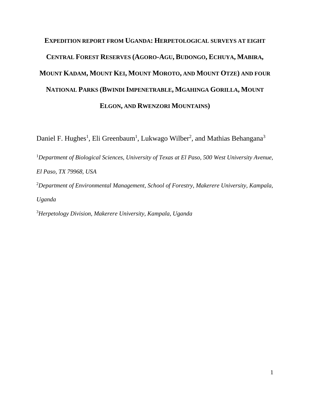# **EXPEDITION REPORT FROM UGANDA: HERPETOLOGICAL SURVEYS AT EIGHT CENTRAL FOREST RESERVES (AGORO-AGU, BUDONGO, ECHUYA, MABIRA, MOUNT KADAM, MOUNT KEI, MOUNT MOROTO, AND MOUNT OTZE) AND FOUR NATIONAL PARKS (BWINDI IMPENETRABLE, MGAHINGA GORILLA, MOUNT ELGON, AND RWENZORI MOUNTAINS)**

Daniel F. Hughes<sup>1</sup>, Eli Greenbaum<sup>1</sup>, Lukwago Wilber<sup>2</sup>, and Mathias Behangana<sup>3</sup>

<sup>1</sup>*Department of Biological Sciences, University of Texas at El Paso, 500 West University Avenue, El Paso, TX 79968, USA*

<sup>2</sup>*Department of Environmental Management, School of Forestry, Makerere University, Kampala, Uganda*

<sup>3</sup>*Herpetology Division, Makerere University, Kampala, Uganda*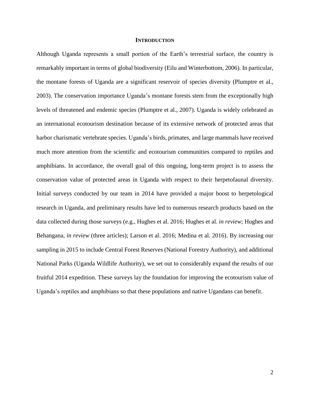### **INTRODUCTION**

Although Uganda represents a small portion of the Earth's terrestrial surface, the country is remarkably important in terms of global biodiversity (Eilu and Winterbottom, 2006). In particular, the montane forests of Uganda are a significant reservoir of species diversity (Plumptre et al., 2003). The conservation importance Uganda's montane forests stem from the exceptionally high levels of threatened and endemic species (Plumptre et al., 2007). Uganda is widely celebrated as an international ecotourism destination because of its extensive network of protected areas that harbor charismatic vertebrate species. Uganda's birds, primates, and large mammals have received much more attention from the scientific and ecotourism communities compared to reptiles and amphibians. In accordance, the overall goal of this ongoing, long-term project is to assess the conservation value of protected areas in Uganda with respect to their herpetofaunal diversity. Initial surveys conducted by our team in 2014 have provided a major boost to herpetological research in Uganda, and preliminary results have led to numerous research products based on the data collected during those surveys (e.g., Hughes et al. 2016; Hughes et al. *in review*; Hughes and Behangana, *in review* (three articles); Larson et al. 2016; Medina et al. 2016). By increasing our sampling in 2015 to include Central Forest Reserves (National Forestry Authority), and additional National Parks (Uganda Wildlife Authority), we set out to considerably expand the results of our fruitful 2014 expedition. These surveys lay the foundation for improving the ecotourism value of Uganda's reptiles and amphibians so that these populations and native Ugandans can benefit.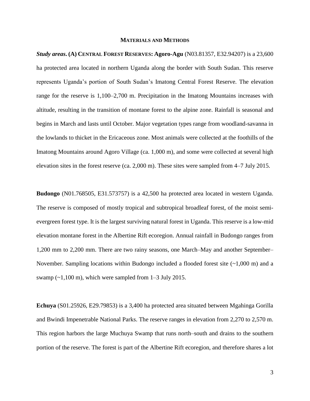### **MATERIALS AND METHODS**

*Study areas***. (A) CENTRAL FOREST RESERVES: Agoro-Agu** (N03.81357, E32.94207) is a 23,600 ha protected area located in northern Uganda along the border with South Sudan. This reserve represents Uganda's portion of South Sudan's Imatong Central Forest Reserve. The elevation range for the reserve is 1,100–2,700 m. Precipitation in the Imatong Mountains increases with altitude, resulting in the transition of montane forest to the alpine zone. Rainfall is seasonal and begins in March and lasts until October. Major vegetation types range from woodland-savanna in the lowlands to thicket in the Ericaceous zone. Most animals were collected at the foothills of the Imatong Mountains around Agoro Village (ca. 1,000 m), and some were collected at several high elevation sites in the forest reserve (ca. 2,000 m). These sites were sampled from 4–7 July 2015.

**Budongo** (N01.768505, E31.573757) is a 42,500 ha protected area located in western Uganda. The reserve is composed of mostly tropical and subtropical broadleaf forest, of the moist semievergreen forest type. It is the largest surviving natural forest in Uganda. This reserve is a low-mid elevation montane forest in the Albertine Rift ecoregion. Annual rainfall in Budongo ranges from 1,200 mm to 2,200 mm. There are two rainy seasons, one March–May and another September– November. Sampling locations within Budongo included a flooded forest site  $(\sim 1,000 \text{ m})$  and a swamp  $(\sim 1,100 \text{ m})$ , which were sampled from 1–3 July 2015.

**Echuya** (S01.25926, E29.79853) is a 3,400 ha protected area situated between Mgahinga Gorilla and Bwindi Impenetrable National Parks. The reserve ranges in elevation from 2,270 to 2,570 m. This region harbors the large Muchuya Swamp that runs north–south and drains to the southern portion of the reserve. The forest is part of the Albertine Rift ecoregion, and therefore shares a lot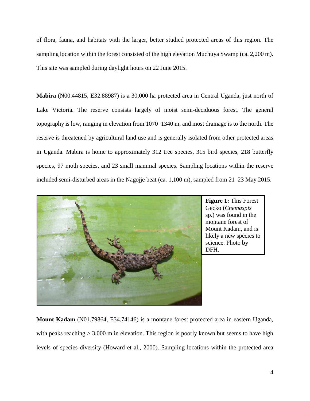of flora, fauna, and habitats with the larger, better studied protected areas of this region. The sampling location within the forest consisted of the high elevation Muchuya Swamp (ca. 2,200 m). This site was sampled during daylight hours on 22 June 2015.

**Mabira** (N00.44815, E32.88987) is a 30,000 ha protected area in Central Uganda, just north of Lake Victoria. The reserve consists largely of moist semi-deciduous forest. The general topography is low, ranging in elevation from 1070–1340 m, and most drainage is to the north. The reserve is threatened by agricultural land use and is generally isolated from other protected areas in Uganda. Mabira is home to approximately 312 tree species, 315 bird species, 218 butterfly species, 97 moth species, and 23 small mammal species. Sampling locations within the reserve included semi-disturbed areas in the Nagojje beat (ca. 1,100 m), sampled from 21–23 May 2015.



**Figure 1:** This Forest Gecko (*Cnemaspis* sp.) was found in the montane forest of Mount Kadam, and is likely a new species to science. Photo by DFH.

**Mount Kadam** (N01.79864, E34.74146) is a montane forest protected area in eastern Uganda, with peaks reaching  $> 3,000$  m in elevation. This region is poorly known but seems to have high levels of species diversity (Howard et al., 2000). Sampling locations within the protected area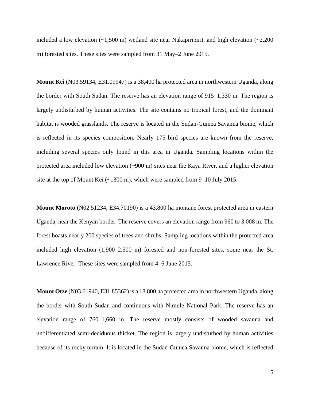included a low elevation  $(-1,500 \text{ m})$  wetland site near Nakapiripirit, and high elevation  $(-2,200 \text{ m})$ m) forested sites. These sites were sampled from 31 May–2 June 2015.

**Mount Kei** (N03.59134, E31.09947) is a 38,400 ha protected area in northwestern Uganda, along the border with South Sudan. The reserve has an elevation range of 915–1,330 m. The region is largely undisturbed by human activities. The site contains no tropical forest, and the dominant habitat is wooded grasslands. The reserve is located in the Sudan-Guinea Savanna biome, which is reflected in its species composition. Nearly 175 bird species are known from the reserve, including several species only found in this area in Uganda. Sampling locations within the protected area included low elevation (~900 m) sites near the Kaya River, and a higher elevation site at the top of Mount Kei (~1300 m), which were sampled from 9–10 July 2015.

**Mount Moroto** (N02.51234, E34.70190) is a 43,800 ha montane forest protected area in eastern Uganda, near the Kenyan border. The reserve covers an elevation range from 960 to 3,008 m. The forest boasts nearly 200 species of trees and shrubs. Sampling locations within the protected area included high elevation (1,900–2,500 m) forested and non-forested sites, some near the St. Lawrence River. These sites were sampled from 4–6 June 2015.

**Mount Otze** (N03.61940, E31.85362) is a 18,800 ha protected area in northwestern Uganda, along the border with South Sudan and continuous with Nimule National Park. The reserve has an elevation range of 760–1,660 m. The reserve mostly consists of wooded savanna and undifferentiated semi-deciduous thicket. The region is largely undisturbed by human activities because of its rocky terrain. It is located in the Sudan-Guinea Savanna biome, which is reflected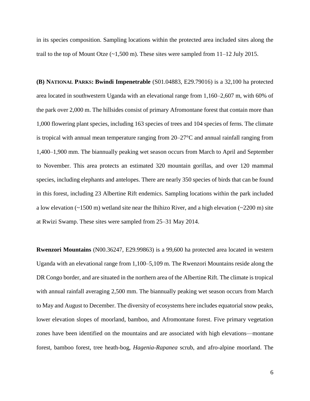in its species composition. Sampling locations within the protected area included sites along the trail to the top of Mount Otze  $(\sim 1,500 \text{ m})$ . These sites were sampled from 11–12 July 2015.

**(B) NATIONAL PARKS: Bwindi Impenetrable** (S01.04883, E29.79016) is a 32,100 ha protected area located in southwestern Uganda with an elevational range from 1,160–2,607 m, with 60% of the park over 2,000 m. The hillsides consist of primary Afromontane forest that contain more than 1,000 flowering plant species, including 163 species of trees and 104 species of ferns. The climate is tropical with annual mean temperature ranging from 20–27°C and annual rainfall ranging from 1,400–1,900 mm. The biannually peaking wet season occurs from March to April and September to November. This area protects an estimated 320 mountain gorillas, and over 120 mammal species, including elephants and antelopes. There are nearly 350 species of birds that can be found in this forest, including 23 Albertine Rift endemics. Sampling locations within the park included a low elevation  $(-1500 \text{ m})$  wetland site near the Ihihizo River, and a high elevation  $(-2200 \text{ m})$  site at Rwizi Swamp. These sites were sampled from 25–31 May 2014.

**Rwenzori Mountains** (N00.36247, E29.99863) is a 99,600 ha protected area located in western Uganda with an elevational range from 1,100–5,109 m. The Rwenzori Mountains reside along the DR Congo border, and are situated in the northern area of the Albertine Rift. The climate is tropical with annual rainfall averaging 2,500 mm. The biannually peaking wet season occurs from March to May and August to December. The diversity of ecosystems here includes equatorial snow peaks, lower elevation slopes of moorland, bamboo, and Afromontane forest. Five primary vegetation zones have been identified on the mountains and are associated with high elevations—montane forest, bamboo forest, tree heath-bog, *Hagenia-Rapanea* scrub, and afro-alpine moorland. The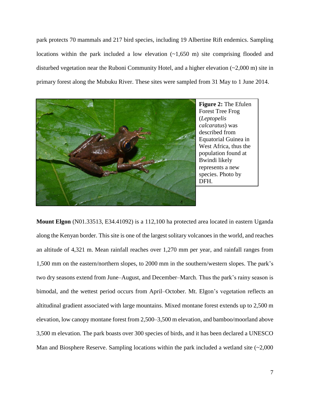park protects 70 mammals and 217 bird species, including 19 Albertine Rift endemics. Sampling locations within the park included a low elevation  $(-1,650 \text{ m})$  site comprising flooded and disturbed vegetation near the Ruboni Community Hotel, and a higher elevation  $(\sim 2,000 \text{ m})$  site in primary forest along the Mubuku River. These sites were sampled from 31 May to 1 June 2014.



**Mount Elgon** (N01.33513, E34.41092) is a 112,100 ha protected area located in eastern Uganda along the Kenyan border. This site is one of the largest solitary volcanoes in the world, and reaches an altitude of 4,321 m. Mean rainfall reaches over 1,270 mm per year, and rainfall ranges from 1,500 mm on the eastern/northern slopes, to 2000 mm in the southern/western slopes. The park's two dry seasons extend from June–August, and December–March. Thus the park's rainy season is bimodal, and the wettest period occurs from April–October. Mt. Elgon's vegetation reflects an altitudinal gradient associated with large mountains. Mixed montane forest extends up to 2,500 m elevation, low canopy montane forest from 2,500–3,500 m elevation, and bamboo/moorland above 3,500 m elevation. The park boasts over 300 species of birds, and it has been declared a UNESCO Man and Biosphere Reserve. Sampling locations within the park included a wetland site  $(\sim 2,000$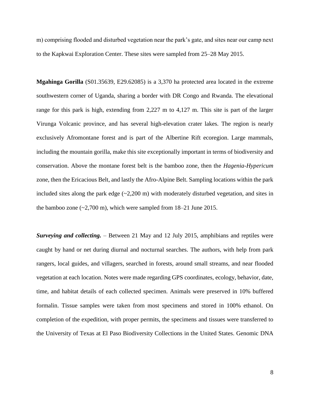m) comprising flooded and disturbed vegetation near the park's gate, and sites near our camp next to the Kapkwai Exploration Center. These sites were sampled from 25–28 May 2015.

**Mgahinga Gorilla** (S01.35639, E29.62085) is a 3,370 ha protected area located in the extreme southwestern corner of Uganda, sharing a border with DR Congo and Rwanda. The elevational range for this park is high, extending from 2,227 m to 4,127 m. This site is part of the larger Virunga Volcanic province, and has several high-elevation crater lakes. The region is nearly exclusively Afromontane forest and is part of the Albertine Rift ecoregion. Large mammals, including the mountain gorilla, make this site exceptionally important in terms of biodiversity and conservation. Above the montane forest belt is the bamboo zone, then the *Hagenia-Hypericum* zone, then the Ericacious Belt, and lastly the Afro-Alpine Belt. Sampling locations within the park included sites along the park edge  $(\sim 2,200 \text{ m})$  with moderately disturbed vegetation, and sites in the bamboo zone  $(-2,700 \text{ m})$ , which were sampled from  $18-21$  June 2015.

*Surveying and collecting.* – Between 21 May and 12 July 2015, amphibians and reptiles were caught by hand or net during diurnal and nocturnal searches. The authors, with help from park rangers, local guides, and villagers, searched in forests, around small streams, and near flooded vegetation at each location. Notes were made regarding GPS coordinates, ecology, behavior, date, time, and habitat details of each collected specimen. Animals were preserved in 10% buffered formalin. Tissue samples were taken from most specimens and stored in 100% ethanol. On completion of the expedition, with proper permits, the specimens and tissues were transferred to the University of Texas at El Paso Biodiversity Collections in the United States. Genomic DNA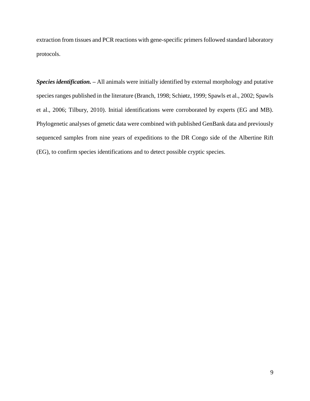extraction from tissues and PCR reactions with gene-specific primers followed standard laboratory protocols.

*Species identification. –* All animals were initially identified by external morphology and putative species ranges published in the literature (Branch, 1998; Schiøtz, 1999; Spawls et al., 2002; Spawls et al., 2006; Tilbury, 2010). Initial identifications were corroborated by experts (EG and MB). Phylogenetic analyses of genetic data were combined with published GenBank data and previously sequenced samples from nine years of expeditions to the DR Congo side of the Albertine Rift (EG), to confirm species identifications and to detect possible cryptic species.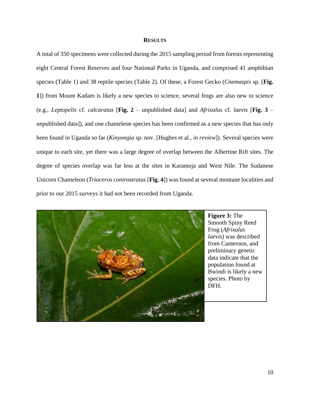### **RESULTS**

A total of 350 specimens were collected during the 2015 sampling period from forests representing eight Central Forest Reserves and four National Parks in Uganda, and comprised 41 amphibian species (Table 1) and 38 reptile species (Table 2). Of these, a Forest Gecko (*Cnemaspis* sp. [**Fig. 1**]) from Mount Kadam is likely a new species to science, several frogs are also new to science (e.g., *Leptopelis* cf. *calcaratus* [**Fig. 2** – unpublished data] and *Afrixalus* cf. *laevis* [**Fig. 3** – unpublished data]), and one chameleon species has been confirmed as a new species that has only been found in Uganda so far (*Kinyongia* sp. nov. [Hughes et al., *in review*]). Several species were unique to each site, yet there was a large degree of overlap between the Albertine Rift sites. The degree of species overlap was far less at the sites in Karamoja and West Nile. The Sudanese Unicorn Chameleon (*Trioceros conirostratus* [**Fig. 4**]) was found at several montane localities and prior to our 2015 surveys it had not been recorded from Uganda.



**Figure 3:** The Smooth Spiny Reed Frog (*Afrixalus laevis*) was described from Cameroon, and preliminary genetic data indicate that the population found at Bwindi is likely a new species. Photo by DFH.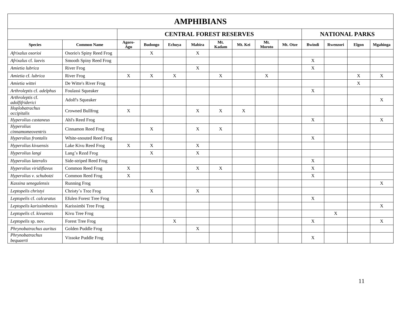### **AMPHIBIANS**

|                                        |                          |               |                | <b>CENTRAL FOREST RESERVES</b> | <b>NATIONAL PARKS</b> |              |         |                      |          |                           |             |             |                           |
|----------------------------------------|--------------------------|---------------|----------------|--------------------------------|-----------------------|--------------|---------|----------------------|----------|---------------------------|-------------|-------------|---------------------------|
| <b>Species</b>                         | <b>Common Name</b>       | Agoro-<br>Agu | <b>Budongo</b> | Echuya                         | Mabira                | Mt.<br>Kadam | Mt. Kei | Mt.<br><b>Moroto</b> | Mt. Otze | <b>B</b> windi            | Rwenzori    | Elgon       | <b>Mgahinga</b>           |
| Afrixalus osorioi                      | Osorio's Spiny Reed Frog |               | $\mathbf X$    |                                | $\mathbf X$           |              |         |                      |          |                           |             |             |                           |
| Afrixalus cf. laevis                   | Smooth Spiny Reed Frog   |               |                |                                |                       |              |         |                      |          | $\boldsymbol{\mathrm{X}}$ |             |             |                           |
| Amietia lubrica                        | <b>River Frog</b>        |               |                |                                | $\mathbf X$           |              |         |                      |          | X                         |             |             |                           |
| Amietia cf. lubrica                    | <b>River Frog</b>        | X             | X              | $\mathbf X$                    |                       | $\mathbf X$  |         | X                    |          |                           |             | $\mathbf X$ | $\mathbf X$               |
| Amietia wittei                         | De Witte's River Frog    |               |                |                                |                       |              |         |                      |          |                           |             | $\mathbf X$ |                           |
| Arthroleptis cf. adelphus              | Foulassi Squeaker        |               |                |                                |                       |              |         |                      |          | X                         |             |             |                           |
| Arthroleptis cf.<br>adolfifriderici    | Adolf's Squeaker         |               |                |                                |                       |              |         |                      |          |                           |             |             | $\boldsymbol{\mathrm{X}}$ |
| Hoplobatrachus<br>occipitalis          | Crowned Bullfrog         | X             |                |                                | $\boldsymbol{X}$      | $\mathbf X$  | X       |                      |          |                           |             |             |                           |
| Hyperolius castaneus                   | Ahl's Reed Frog          |               |                |                                |                       |              |         |                      |          | $\mathbf X$               |             |             | $\boldsymbol{\mathrm{X}}$ |
| <b>Hyperolius</b><br>cinnamomeoventris | Cinnamon Reed Frog       |               | $\mathbf X$    |                                | $\mathbf X$           | $\mathbf X$  |         |                      |          |                           |             |             |                           |
| Hyperolius frontalis                   | White-snouted Reed Frog  |               |                |                                |                       |              |         |                      |          | X                         |             |             |                           |
| Hyperolius kivuensis                   | Lake Kivu Reed Frog      | $\mathbf X$   | $\mathbf X$    |                                | $\mathbf X$           |              |         |                      |          |                           |             |             |                           |
| Hyperolius langi                       | Lang's Reed Frog         |               | X              |                                | X                     |              |         |                      |          |                           |             |             |                           |
| Hyperolius lateralis                   | Side-striped Reed Frog   |               |                |                                |                       |              |         |                      |          | X                         |             |             |                           |
| Hyperolius viridiflavus                | Common Reed Frog         | $\mathbf X$   |                |                                | $\boldsymbol{X}$      | $\mathbf X$  |         |                      |          | $\mathbf X$               |             |             |                           |
| Hyperolius v. schubotzi                | Common Reed Frog         | $\mathbf X$   |                |                                |                       |              |         |                      |          | X                         |             |             |                           |
| Kassina senegalensis                   | <b>Running Frog</b>      |               |                |                                |                       |              |         |                      |          |                           |             |             | $\boldsymbol{\mathrm{X}}$ |
| Leptopelis christyi                    | Christy's Tree Frog      |               | X              |                                | $\mathbf X$           |              |         |                      |          |                           |             |             |                           |
| Leptopelis cf. calcaratus              | Efulen Forest Tree Frog  |               |                |                                |                       |              |         |                      |          | X                         |             |             |                           |
| Leptopelis karissimbensis              | Karissimbi Tree Frog     |               |                |                                |                       |              |         |                      |          |                           |             |             | $\mathbf X$               |
| Leptopelis cf. kivuensis               | Kivu Tree Frog           |               |                |                                |                       |              |         |                      |          |                           | $\mathbf X$ |             |                           |
| Leptopelis sp. nov.                    | <b>Forest Tree Frog</b>  |               |                | $\mathbf X$                    |                       |              |         |                      |          | $\mathbf X$               |             |             | X                         |
| Phrynobatrachus auritus                | Golden Puddle Frog       |               |                |                                | $\mathbf X$           |              |         |                      |          |                           |             |             |                           |
| Phrynobatrachus<br>bequaerti           | Vissoke Puddle Frog      |               |                |                                |                       |              |         |                      |          | X                         |             |             |                           |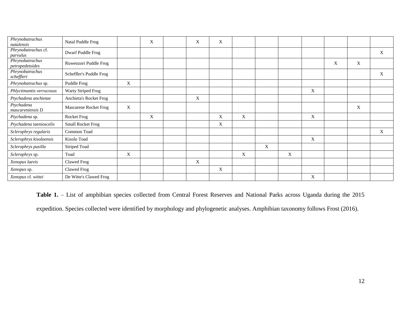| Phrynobatrachus<br>natalensis      | Natal Puddle Frog        |             | X | X | X |                           |   |   |             |   |   |   |
|------------------------------------|--------------------------|-------------|---|---|---|---------------------------|---|---|-------------|---|---|---|
| Phrynobatrachus cf.<br>parvulus    | Dwarf Puddle Frog        |             |   |   |   |                           |   |   |             |   |   | X |
| Phrynobatrachus<br>petropedetoides | Ruwenzori Puddle Frog    |             |   |   |   |                           |   |   |             | X | X |   |
| Phrynobatrachus<br>scheffleri      | Scheffler's Puddle Frog  |             |   |   |   |                           |   |   |             |   |   | X |
| Phrynobatrachus sp.                | Puddle Frog              | $\mathbf X$ |   |   |   |                           |   |   |             |   |   |   |
| Phlyctimantis verrucosus           | Warty Striped Frog       |             |   |   |   |                           |   |   | X           |   |   |   |
| Ptychadena anchietae               | Anchieta's Rocket Frog   |             |   | X |   |                           |   |   |             |   |   |   |
| Ptychadena<br>mascareniensis D     | Mascarene Rocket Frog    | X           |   |   |   |                           |   |   |             |   | X |   |
| Ptychadena sp.                     | Rocket Frog              |             | X |   | X | X                         |   |   | X           |   |   |   |
| Ptychadena taenioscelis            | <b>Small Rocket Frog</b> |             |   |   | X |                           |   |   |             |   |   |   |
| Sclerophrys regularis              | Common Toad              |             |   |   |   |                           |   |   |             |   |   | X |
| Sclerophrys kisoloensis            | Kisolo Toad              |             |   |   |   |                           |   |   | $\mathbf X$ |   |   |   |
| Sclerophrys pusilla                | <b>Striped Toad</b>      |             |   |   |   |                           | X |   |             |   |   |   |
| Sclerophrys sp.                    | Toad                     | X           |   |   |   | $\boldsymbol{\mathrm{X}}$ |   | X |             |   |   |   |
| Xenopus laevis                     | Clawed Frog              |             |   | X |   |                           |   |   |             |   |   |   |
| Xenopus sp.                        | Clawed Frog              |             |   |   | X |                           |   |   |             |   |   |   |
| Xenopus cf. wittei                 | De Witte's Clawed Frog   |             |   |   |   |                           |   |   | X           |   |   |   |

Table 1. – List of amphibian species collected from Central Forest Reserves and National Parks across Uganda during the 2015

expedition. Species collected were identified by morphology and phylogenetic analyses. Amphibian taxonomy follows Frost (2016).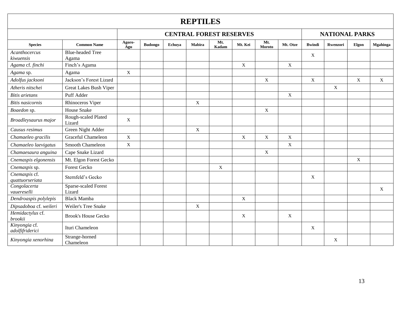## **REPTILES**

|                                  |                                  | <b>CENTRAL FOREST RESERVES</b> |                |        |              |              |                           |                      |             |                | <b>NATIONAL PARKS</b> |             |                           |  |  |
|----------------------------------|----------------------------------|--------------------------------|----------------|--------|--------------|--------------|---------------------------|----------------------|-------------|----------------|-----------------------|-------------|---------------------------|--|--|
| <b>Species</b>                   | <b>Common Name</b>               | Agoro-<br>Agu                  | <b>Budongo</b> | Echuya | Mabira       | Mt.<br>Kadam | Mt. Kei                   | Mt.<br><b>Moroto</b> | Mt. Otze    | <b>B</b> windi | Rwenzori              | Elgon       | <b>Mgahinga</b>           |  |  |
| Acanthocercus<br>kiwuensis       | <b>Blue-headed Tree</b><br>Agama |                                |                |        |              |              |                           |                      |             | X              |                       |             |                           |  |  |
| Agama cf. finchi                 | Finch's Agama                    |                                |                |        |              |              | $\mathbf X$               |                      | $\mathbf X$ |                |                       |             |                           |  |  |
| Agama sp.                        | Agama                            | $\mathbf X$                    |                |        |              |              |                           |                      |             |                |                       |             |                           |  |  |
| Adolfus jacksoni                 | Jackson's Forest Lizard          |                                |                |        |              |              |                           | $\mathbf X$          |             | $\mathbf X$    |                       | $\mathbf X$ | $\mathbf{X}$              |  |  |
| Atheris nitschei                 | Great Lakes Bush Viper           |                                |                |        |              |              |                           |                      |             |                | X                     |             |                           |  |  |
| <b>Bitis</b> arietans            | Puff Adder                       |                                |                |        |              |              |                           |                      | $\mathbf X$ |                |                       |             |                           |  |  |
| <b>Bitis</b> nasicornis          | Rhinoceros Viper                 |                                |                |        | $\mathbf X$  |              |                           |                      |             |                |                       |             |                           |  |  |
| Boaedon sp.                      | <b>House Snake</b>               |                                |                |        |              |              |                           | $\mathbf X$          |             |                |                       |             |                           |  |  |
| Broadleysaurus major             | Rough-scaled Plated<br>Lizard    | X                              |                |        |              |              |                           |                      |             |                |                       |             |                           |  |  |
| Causus resimus                   | Green Night Adder                |                                |                |        | $\mathbf{X}$ |              |                           |                      |             |                |                       |             |                           |  |  |
| Chamaeleo gracilis               | <b>Graceful Chameleon</b>        | $\mathbf X$                    |                |        |              |              | $\mathbf X$               | $\mathbf X$          | $\mathbf X$ |                |                       |             |                           |  |  |
| Chamaeleo laevigatus             | Smooth Chameleon                 | X                              |                |        |              |              |                           |                      | $\mathbf X$ |                |                       |             |                           |  |  |
| Chamaesaura anguina              | Cape Snake Lizard                |                                |                |        |              |              |                           | $\mathbf X$          |             |                |                       |             |                           |  |  |
| Cnemaspis elgonensis             | Mt. Elgon Forest Gecko           |                                |                |        |              |              |                           |                      |             |                |                       | $\mathbf X$ |                           |  |  |
| Cnemaspis sp.                    | <b>Forest Gecko</b>              |                                |                |        |              | X            |                           |                      |             |                |                       |             |                           |  |  |
| Cnemaspis cf.<br>quattuorseriata | Sternfeld's Gecko                |                                |                |        |              |              |                           |                      |             | X              |                       |             |                           |  |  |
| Congolacerta<br>vauereselli      | Sparse-scaled Forest<br>Lizard   |                                |                |        |              |              |                           |                      |             |                |                       |             | $\boldsymbol{\mathrm{X}}$ |  |  |
| Dendroaspis polylepis            | <b>Black Mamba</b>               |                                |                |        |              |              | X                         |                      |             |                |                       |             |                           |  |  |
| Dipsadoboa cf. weileri           | Weiler's Tree Snake              |                                |                |        | X            |              |                           |                      |             |                |                       |             |                           |  |  |
| Hemidactylus cf.<br>brookii      | <b>Brook's House Gecko</b>       |                                |                |        |              |              | $\boldsymbol{\mathrm{X}}$ |                      | X           |                |                       |             |                           |  |  |
| Kinyongia cf.<br>adolfifriderici | Ituri Chameleon                  |                                |                |        |              |              |                           |                      |             | X              |                       |             |                           |  |  |
| Kinyongia xenorhina              | Strange-horned<br>Chameleon      |                                |                |        |              |              |                           |                      |             |                | X                     |             |                           |  |  |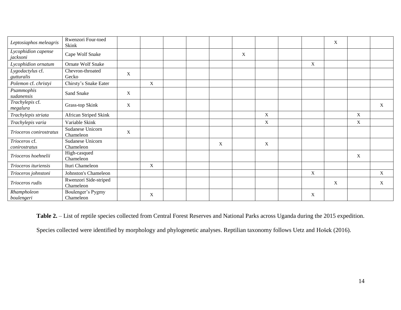| Leptosiaphos meleagris          | Rwenzori Four-toed<br>Skink        |   |                           |  |   |   |             |   | X |             |             |
|---------------------------------|------------------------------------|---|---------------------------|--|---|---|-------------|---|---|-------------|-------------|
| Lycophidion capense<br>jacksoni | Cape Wolf Snake                    |   |                           |  |   | X |             |   |   |             |             |
| Lycophidion ornatum             | <b>Ornate Wolf Snake</b>           |   |                           |  |   |   |             | X |   |             |             |
| Lygodactylus cf.<br>gutturalis  | Chevron-throated<br>Gecko          | X |                           |  |   |   |             |   |   |             |             |
| Polemon cf. christyi            | Chirsty's Snake Eater              |   | X                         |  |   |   |             |   |   |             |             |
| Psammophis<br>sudanensis        | Sand Snake                         | X |                           |  |   |   |             |   |   |             |             |
| Trachylepis cf.<br>megalura     | Grass-top Skink                    | X |                           |  |   |   |             |   |   |             | $\mathbf X$ |
| Trachylepis striata             | African Striped Skink              |   |                           |  |   |   | X           |   |   | $\mathbf X$ |             |
| Trachylepis varia               | Variable Skink                     |   |                           |  |   |   | $\mathbf X$ |   |   | $\mathbf X$ |             |
| Trioceros conirostratus         | Sudanese Unicorn<br>Chameleon      | X |                           |  |   |   |             |   |   |             |             |
| Trioceros cf.<br>conirostratus  | Sudanese Unicorn<br>Chameleon      |   |                           |  | X |   | X           |   |   |             |             |
| Trioceros hoehnelii             | High-casqued<br>Chameleon          |   |                           |  |   |   |             |   |   | X           |             |
| Trioceros ituriensis            | Ituri Chameleon                    |   | $\boldsymbol{\mathrm{X}}$ |  |   |   |             |   |   |             |             |
| Trioceros johnstoni             | Johnston's Chameleon               |   |                           |  |   |   |             | X |   |             | $\mathbf X$ |
| Trioceros rudis                 | Rwenzori Side-striped<br>Chameleon |   |                           |  |   |   |             |   | X |             | X           |
| Rhampholeon<br>boulengeri       | Boulenger's Pygmy<br>Chameleon     |   | X                         |  |   |   |             | X |   |             |             |

Table 2. - List of reptile species collected from Central Forest Reserves and National Parks across Uganda during the 2015 expedition.

Species collected were identified by morphology and phylogenetic analyses. Reptilian taxonomy follows Uetz and Hošek (2016).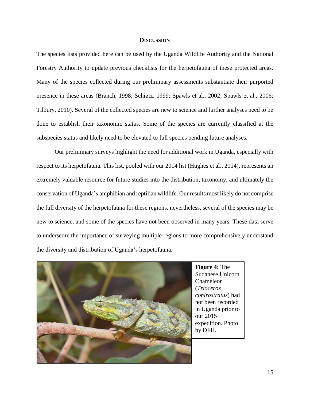### **DISCUSSION**

The species lists provided here can be used by the Uganda Wildlife Authority and the National Forestry Authority to update previous checklists for the herpetofauna of these protected areas. Many of the species collected during our preliminary assessments substantiate their purported presence in these areas (Branch, 1998; Schiøtz, 1999; Spawls et al., 2002; Spawls et al., 2006; Tilbury, 2010). Several of the collected species are new to science and further analyses need to be done to establish their taxonomic status. Some of the species are currently classified at the subspecies status and likely need to be elevated to full species pending future analyses.

Our preliminary surveys highlight the need for additional work in Uganda, especially with respect to its herpetofauna. This list, pooled with our 2014 list (Hughes et al., 2014), represents an extremely valuable resource for future studies into the distribution, taxonomy, and ultimately the conservation of Uganda's amphibian and reptilian wildlife. Our results most likely do not comprise the full diversity of the herpetofauna for these regions, nevertheless, several of the species may be new to science, and some of the species have not been observed in many years. These data serve to underscore the importance of surveying multiple regions to more comprehensively understand the diversity and distribution of Uganda's herpetofauna.



**Figure 4:** The Sudanese Unicorn Chameleon (*Trioceros conirostratus*) had not been recorded in Uganda prior to our 2015 expedition. Photo by DFH.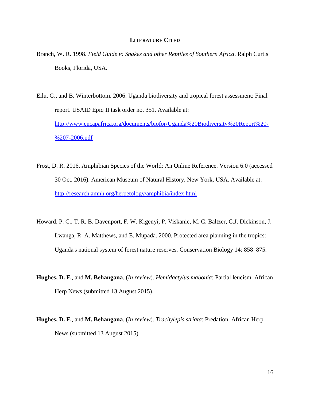### **LITERATURE CITED**

Branch, W. R. 1998. *Field Guide to Snakes and other Reptiles of Southern Africa*. Ralph Curtis Books, Florida, USA.

Eilu, G., and B. Winterbottom. 2006. Uganda biodiversity and tropical forest assessment: Final report. USAID Epiq II task order no. 351. Available at: [http://www.encapafrica.org/documents/biofor/Uganda%20Biodiversity%20Report%20-](http://www.encapafrica.org/documents/biofor/Uganda%20Biodiversity%20Report%20-%207-2006.pdf) [%207-2006.pdf](http://www.encapafrica.org/documents/biofor/Uganda%20Biodiversity%20Report%20-%207-2006.pdf)

- Frost, D. R. 2016. Amphibian Species of the World: An Online Reference. Version 6.0 (accessed 30 Oct. 2016). American Museum of Natural History, New York, USA. Available at: <http://research.amnh.org/herpetology/amphibia/index.html>
- Howard, P. C., T. R. B. Davenport, F. W. Kigenyi, P. Viskanic, M. C. Baltzer, C.J. Dickinson, J. Lwanga, R. A. Matthews, and E. Mupada. 2000. Protected area planning in the tropics: Uganda's national system of forest nature reserves. Conservation Biology 14: 858–875.
- **Hughes, D. F.**, and **M. Behangana**. (*In review*). *Hemidactylus mabouia*: Partial leucism. African Herp News (submitted 13 August 2015).
- **Hughes, D. F.**, and **M. Behangana**. (*In review*). *Trachylepis striata*: Predation. African Herp News (submitted 13 August 2015).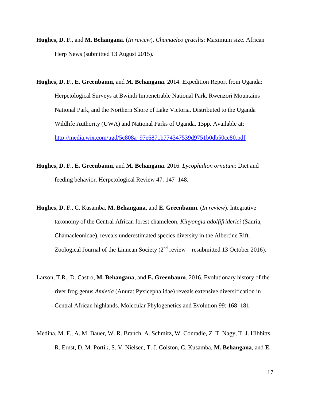- **Hughes, D. F.**, and **M. Behangana**. (*In review*). *Chamaeleo gracilis*: Maximum size. African Herp News (submitted 13 August 2015).
- **Hughes, D. F.**, **E. Greenbaum**, and **M. Behangana**. 2014. Expedition Report from Uganda: Herpetological Surveys at Bwindi Impenetrable National Park, Rwenzori Mountains National Park, and the Northern Shore of Lake Victoria. Distributed to the Uganda Wildlife Authority (UWA) and National Parks of Uganda. 13pp. Available at: [http://media.wix.com/ugd/5c808a\\_97e6871b774347539d9751b0db50cc80.pdf](http://media.wix.com/ugd/5c808a_97e6871b774347539d9751b0db50cc80.pdf)
- **Hughes, D. F.**, **E. Greenbaum**, and **M. Behangana**. 2016. *Lycophidion ornatum*: Diet and feeding behavior. Herpetological Review 47: 147–148.
- **Hughes, D. F.**, C. Kusamba, **M. Behangana**, and **E. Greenbaum**. (*In review*). Integrative taxonomy of the Central African forest chameleon, *Kinyongia adolfifriderici* (Sauria, Chamaeleonidae), reveals underestimated species diversity in the Albertine Rift. Zoological Journal of the Linnean Society  $(2<sup>nd</sup>$  review – resubmitted 13 October 2016).
- Larson, T.R., D. Castro, **M. Behangana**, and **E. Greenbaum**. 2016. Evolutionary history of the river frog genus *Amietia* (Anura: Pyxicephalidae) reveals extensive diversification in Central African highlands. Molecular Phylogenetics and Evolution 99: 168–181.
- Medina, M. F., A. M. Bauer, W. R. Branch, A. Schmitz, W. Conradie, Z. T. Nagy, T. J. Hibbitts, R. Ernst, D. M. Portik, S. V. Nielsen, T. J. Colston, C. Kusamba, **M. Behangana**, and **E.**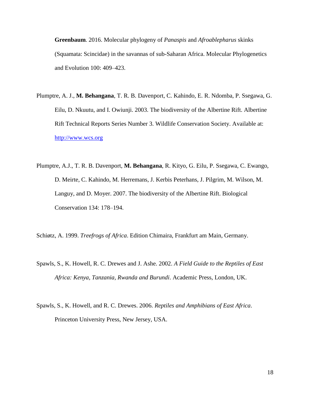**Greenbaum**. 2016. Molecular phylogeny of *Panaspis* and *Afroablepharus* skinks (Squamata: Scincidae) in the savannas of sub-Saharan Africa. Molecular Phylogenetics and Evolution 100: 409–423.

- Plumptre, A. J., **M. Behangana**, T. R. B. Davenport, C. Kahindo, E. R. Ndomba, P. Ssegawa, G. Eilu, D. Nkuutu, and I. Owiunji. 2003. The biodiversity of the Albertine Rift. Albertine Rift Technical Reports Series Number 3. Wildlife Conservation Society. Available at: [http://www.wcs.org](http://www.wcs.org/)
- Plumptre, A.J., T. R. B. Davenport, **M. Behangana**, R. Kityo, G. Eilu, P. Ssegawa, C. Ewango, D. Meirte, C. Kahindo, M. Herremans, J. Kerbis Peterhans, J. Pilgrim, M. Wilson, M. Languy, and D. Moyer. 2007. The biodiversity of the Albertine Rift. Biological Conservation 134: 178–194.

Schiøtz, A. 1999. *Treefrogs of Africa*. Edition Chimaira, Frankfurt am Main, Germany.

- Spawls, S., K. Howell, R. C. Drewes and J. Ashe. 2002. *A Field Guide to the Reptiles of East Africa: Kenya, Tanzania, Rwanda and Burundi*. Academic Press, London, UK.
- Spawls, S., K. Howell, and R. C. Drewes. 2006. *Reptiles and Amphibians of East Africa*. Princeton University Press, New Jersey, USA.